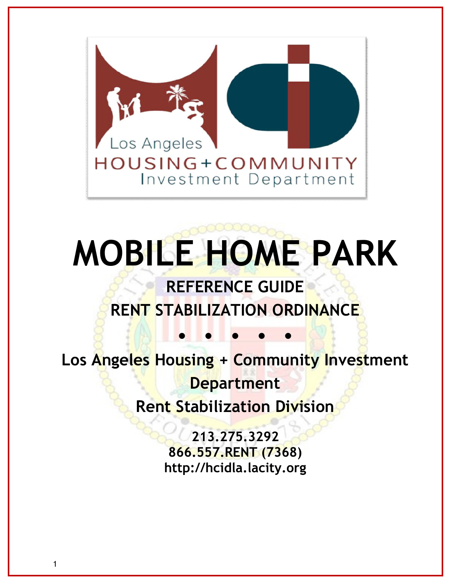

# **MOBILE HOME PARK**

# **REFERENCE GUIDE RENT STABILIZATION ORDINANCE**

**Los Angeles Housing + Community Investment Department Rent Stabilization Division** 

**• • • • •**

**213.275.3292 866.557.RENT (7368) [http://hcidla.lacity.org](http:http://hcidla.lacity.org)**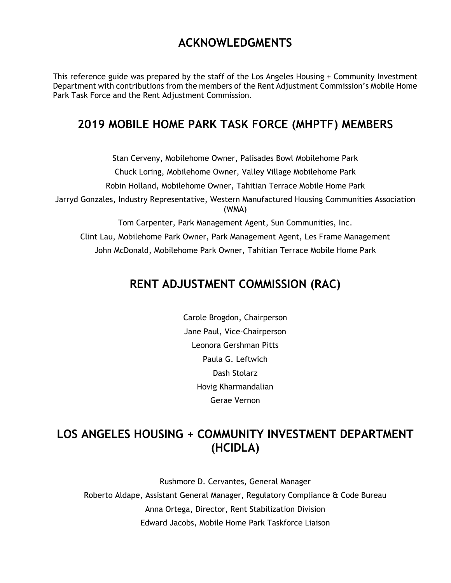# **ACKNOWLEDGMENTS**

 This reference guide was prepared by the staff of the Los Angeles Housing + Community Investment Department with contributions from the members of the Rent Adjustment Commission's Mobile Home Park Task Force and the Rent Adjustment Commission.

# **2019 MOBILE HOME PARK TASK FORCE (MHPTF) MEMBERS**

 Chuck Loring, Mobilehome Owner, Valley Village Mobilehome Park Jarryd Gonzales, Industry Representative, Western Manufactured Housing Communities Association Tom Carpenter, Park Management Agent, Sun Communities, Inc. Clint Lau, Mobilehome Park Owner, Park Management Agent, Les Frame Management Stan Cerveny, Mobilehome Owner, Palisades Bowl Mobilehome Park Robin Holland, Mobilehome Owner, Tahitian Terrace Mobile Home Park (WMA)

John McDonald, Mobilehome Park Owner, Tahitian Terrace Mobile Home Park

# **RENT ADJUSTMENT COMMISSION (RAC)**

 Paula G. Leftwich Carole Brogdon, Chairperson Jane Paul, Vice-Chairperson Leonora Gershman Pitts Dash Stolarz Hovig Kharmandalian Gerae Vernon

# **LOS ANGELES HOUSING + COMMUNITY INVESTMENT DEPARTMENT (HCIDLA)**

 Roberto Aldape, Assistant General Manager, Regulatory Compliance & Code Bureau Anna Ortega, Director, Rent Stabilization Division Rushmore D. Cervantes, General Manager Edward Jacobs, Mobile Home Park Taskforce Liaison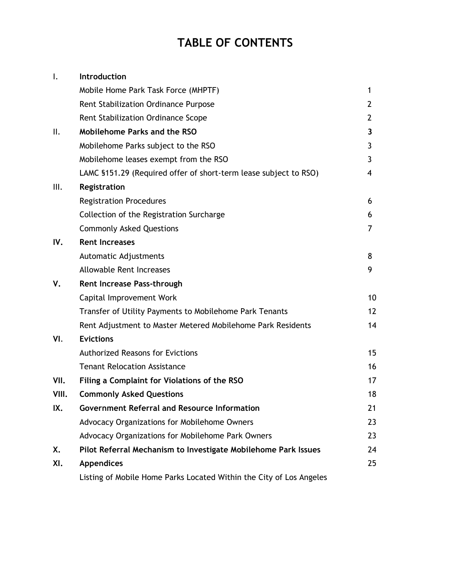# **TABLE OF CONTENTS**

| $\mathsf{l}$ . | Introduction                                                        |                   |
|----------------|---------------------------------------------------------------------|-------------------|
|                | Mobile Home Park Task Force (MHPTF)                                 | 1                 |
|                | Rent Stabilization Ordinance Purpose                                | 2                 |
|                | Rent Stabilization Ordinance Scope                                  | 2                 |
| ΙΙ.            | <b>Mobilehome Parks and the RSO</b>                                 | 3                 |
|                | Mobilehome Parks subject to the RSO                                 | 3                 |
|                | Mobilehome leases exempt from the RSO                               | 3                 |
|                | LAMC §151.29 (Required offer of short-term lease subject to RSO)    | 4                 |
| III.           | Registration                                                        |                   |
|                | <b>Registration Procedures</b>                                      | 6                 |
|                | Collection of the Registration Surcharge                            | 6                 |
|                | <b>Commonly Asked Questions</b>                                     | 7                 |
| IV.            | <b>Rent Increases</b>                                               |                   |
|                | Automatic Adjustments                                               | 8                 |
|                | <b>Allowable Rent Increases</b>                                     | 9                 |
| V.             | Rent Increase Pass-through                                          |                   |
|                | Capital Improvement Work                                            | 10                |
|                | Transfer of Utility Payments to Mobilehome Park Tenants             | $12 \overline{ }$ |
|                | Rent Adjustment to Master Metered Mobilehome Park Residents         | 14                |
| VI.            | <b>Evictions</b>                                                    |                   |
|                | <b>Authorized Reasons for Evictions</b>                             | 15                |
|                | <b>Tenant Relocation Assistance</b>                                 | 16                |
| VII.           | Filing a Complaint for Violations of the RSO                        | 17                |
| VIII.          | <b>Commonly Asked Questions</b>                                     | 18                |
| IX.            | <b>Government Referral and Resource Information</b>                 | 21                |
|                | Advocacy Organizations for Mobilehome Owners                        | 23                |
|                | Advocacy Organizations for Mobilehome Park Owners                   | 23                |
| X.             | Pilot Referral Mechanism to Investigate Mobilehome Park Issues      | 24                |
| XI.            | <b>Appendices</b>                                                   | 25                |
|                | Listing of Mobile Home Parks Located Within the City of Los Angeles |                   |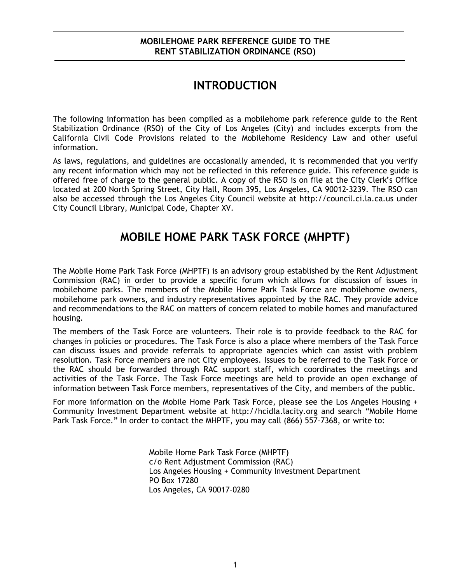## **MOBILEHOME PARK REFERENCE GUIDE TO THE RENT STABILIZATION ORDINANCE (RSO)**

# **INTRODUCTION**

<span id="page-3-0"></span> Stabilization Ordinance (RSO) of the City of Los Angeles (City) and includes excerpts from the The following information has been compiled as a mobilehome park reference guide to the Rent California Civil Code Provisions related to the Mobilehome Residency Law and other useful information.

 As laws, regulations, and guidelines are occasionally amended, it is recommended that you verify any recent information which may not be reflected in this reference guide. This reference guide is offered free of charge to the general public. A copy of the RSO is on file at the City Clerk's Office located at 200 North Spring Street, City Hall, Room 395, Los Angeles, CA 90012-3239. The RSO can City Council Library, Municipal Code, Chapter XV. also be accessed through the Los Angeles City Council website at [http://council.ci.la.ca.us](http:http://council.ci.la.ca.us) under

# **MOBILE HOME PARK TASK FORCE (MHPTF)**

 The Mobile Home Park Task Force (MHPTF) is an advisory group established by the Rent Adjustment mobilehome parks. The members of the Mobile Home Park Task Force are mobilehome owners, mobilehome park owners, and industry representatives appointed by the RAC. They provide advice and recommendations to the RAC on matters of concern related to mobile homes and manufactured Commission (RAC) in order to provide a specific forum which allows for discussion of issues in housing.

 The members of the Task Force are volunteers. Their role is to provide feedback to the RAC for changes in policies or procedures. The Task Force is also a place where members of the Task Force resolution. Task Force members are not City employees. Issues to be referred to the Task Force or activities of the Task Force. The Task Force meetings are held to provide an open exchange of information between Task Force members, representatives of the City, and members of the public. can discuss issues and provide referrals to appropriate agencies which can assist with problem the RAC should be forwarded through RAC support staff, which coordinates the meetings and

 For more information on the Mobile Home Park Task Force, please see the Los Angeles Housing + Park Task Force." In order to contact the MHPTF, you may call (866) 557-7368, or write to: Community Investment Department website at [http://hcidla.lacity.org](http:http://hcidla.lacity.org) and search "Mobile Home

> Mobile Home Park Task Force (MHPTF) c/o Rent Adjustment Commission (RAC) Los Angeles Housing + Community Investment Department PO Box 17280 Los Angeles, CA 90017-0280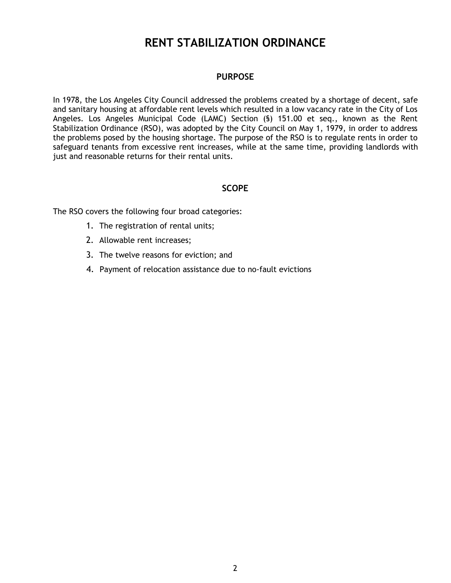# **RENT STABILIZATION ORDINANCE**

## **PURPOSE**

<span id="page-4-0"></span> In 1978, the Los Angeles City Council addressed the problems created by a shortage of decent, safe and sanitary housing at affordable rent levels which resulted in a low vacancy rate in the City of Los Stabilization Ordinance (RSO), was adopted by the City Council on May 1, 1979, in order to address the problems posed by the housing shortage. The purpose of the RSO is to regulate rents in order to safeguard tenants from excessive rent increases, while at the same time, providing landlords with just and reasonable returns for their rental units. Angeles. Los Angeles Municipal Code (LAMC) Section (§) 151.00 et seq., known as the Rent

## **SCOPE**

The RSO covers the following four broad categories:

- 1. The registration of rental units;
- 2. Allowable rent increases;
- 3. The twelve reasons for eviction; and
- 4. Payment of relocation assistance due to no-fault evictions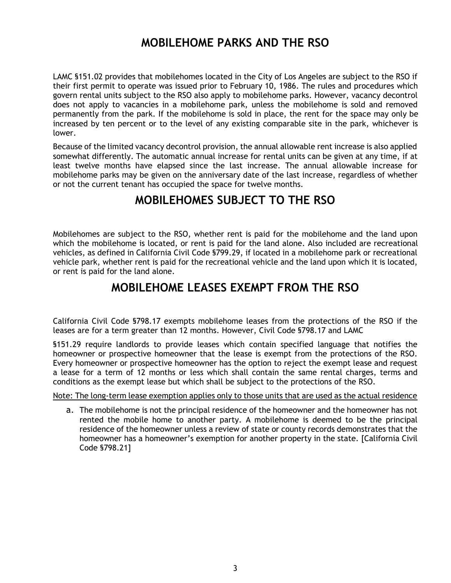# **MOBILEHOME PARKS AND THE RSO**

<span id="page-5-0"></span> LAMC §151.02 provides that mobilehomes located in the City of Los Angeles are subject to the RSO if their first permit to operate was issued prior to February 10, 1986. The rules and procedures which govern rental units subject to the RSO also apply to mobilehome parks. However, vacancy decontrol does not apply to vacancies in a mobilehome park, unless the mobilehome is sold and removed permanently from the park. If the mobilehome is sold in place, the rent for the space may only be increased by ten percent or to the level of any existing comparable site in the park, whichever is lower.

 Because of the limited vacancy decontrol provision, the annual allowable rent increase is also applied somewhat differently. The automatic annual increase for rental units can be given at any time, if at mobilehome parks may be given on the anniversary date of the last increase, regardless of whether or not the current tenant has occupied the space for twelve months. least twelve months have elapsed since the last increase. The annual allowable increase for

# **MOBILEHOMES SUBJECT TO THE RSO**

 Mobilehomes are subject to the RSO, whether rent is paid for the mobilehome and the land upon which the mobilehome is located, or rent is paid for the land alone. Also included are recreational vehicles, as defined in California Civil Code §799.29, if located in a mobilehome park or recreational vehicle park, whether rent is paid for the recreational vehicle and the land upon which it is located, or rent is paid for the land alone.

# **MOBILEHOME LEASES EXEMPT FROM THE RSO**

 leases are for a term greater than 12 months. However, Civil Code §798.17 and LAMC California Civil Code §798.17 exempts mobilehome leases from the protections of the RSO if the

 homeowner or prospective homeowner that the lease is exempt from the protections of the RSO. Every homeowner or prospective homeowner has the option to reject the exempt lease and request a lease for a term of 12 months or less which shall contain the same rental charges, terms and conditions as the exempt lease but which shall be subject to the protections of the RSO. §151.29 require landlords to provide leases which contain specified language that notifies the

Note: The long-term lease exemption applies only to those units that are used as the actual residence

 a. The mobilehome is not the principal residence of the homeowner and the homeowner has not residence of the homeowner unless a review of state or county records demonstrates that the homeowner has a homeowner's exemption for another property in the state. [California Civil rented the mobile home to another party. A mobilehome is deemed to be the principal Code §798.21]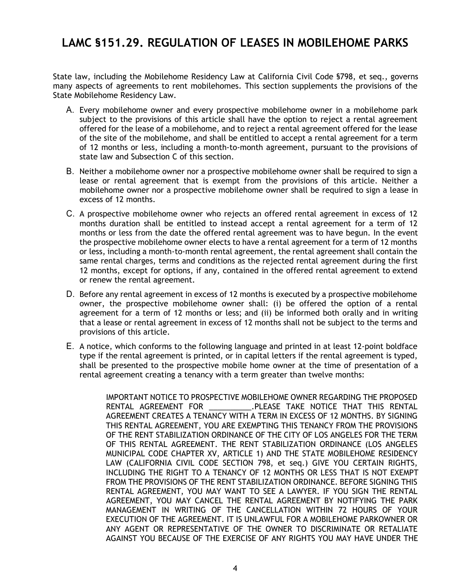# <span id="page-6-0"></span> **LAMC §151.29. REGULATION OF LEASES IN MOBILEHOME PARKS**

 State law, including the Mobilehome Residency Law at California Civil Code §798, et seq., governs many aspects of agreements to rent mobilehomes. This section supplements the provisions of the State Mobilehome Residency Law.

- A. Every mobilehome owner and every prospective mobilehome owner in a mobilehome park offered for the lease of a mobilehome, and to reject a rental agreement offered for the lease of the site of the mobilehome, and shall be entitled to accept a rental agreement for a term of 12 months or less, including a month-to-month agreement, pursuant to the provisions of state law and Subsection C of this section. subject to the provisions of this article shall have the option to reject a rental agreement
- B. Neither a mobilehome owner nor a prospective mobilehome owner shall be required to sign a mobilehome owner nor a prospective mobilehome owner shall be required to sign a lease in lease or rental agreement that is exempt from the provisions of this article. Neither a excess of 12 months.
- C. A prospective mobilehome owner who rejects an offered rental agreement in excess of 12 months or less from the date the offered rental agreement was to have begun. In the event the prospective mobilehome owner elects to have a rental agreement for a term of 12 months or less, including a month-to-month rental agreement, the rental agreement shall contain the 12 months, except for options, if any, contained in the offered rental agreement to extend or renew the rental agreement. months duration shall be entitled to instead accept a rental agreement for a term of 12 same rental charges, terms and conditions as the rejected rental agreement during the first
- D. Before any rental agreement in excess of 12 months is executed by a prospective mobilehome owner, the prospective mobilehome owner shall: (i) be offered the option of a rental agreement for a term of 12 months or less; and (ii) be informed both orally and in writing that a lease or rental agreement in excess of 12 months shall not be subject to the terms and provisions of this article.
- E. A notice, which conforms to the following language and printed in at least 12-point boldface type if the rental agreement is printed, or in capital letters if the rental agreement is typed, shall be presented to the prospective mobile home owner at the time of presentation of a rental agreement creating a tenancy with a term greater than twelve months:

 IMPORTANT NOTICE TO PROSPECTIVE MOBILEHOME OWNER REGARDING THE PROPOSED RENTAL AGREEMENT FOR \_\_\_\_\_\_\_\_\_\_.PLEASE TAKE NOTICE THAT THIS RENTAL AGREEMENT CREATES A TENANCY WITH A TERM IN EXCESS OF 12 MONTHS. BY SIGNING THIS RENTAL AGREEMENT, YOU ARE EXEMPTING THIS TENANCY FROM THE PROVISIONS OF THE RENT STABILIZATION ORDINANCE OF THE CITY OF LOS ANGELES FOR THE TERM OF THIS RENTAL AGREEMENT. THE RENT STABILIZATION ORDINANCE (LOS ANGELES MUNICIPAL CODE CHAPTER XV, ARTICLE 1) AND THE STATE MOBILEHOME RESIDENCY LAW (CALIFORNIA CIVIL CODE SECTION 798, et seq.) GIVE YOU CERTAIN RIGHTS, INCLUDING THE RIGHT TO A TENANCY OF 12 MONTHS OR LESS THAT IS NOT EXEMPT RENTAL AGREEMENT, YOU MAY WANT TO SEE A LAWYER. IF YOU SIGN THE RENTAL AGREEMENT, YOU MAY CANCEL THE RENTAL AGREEMENT BY NOTIFYING THE PARK EXECUTION OF THE AGREEMENT. IT IS UNLAWFUL FOR A MOBILEHOME PARKOWNER OR ANY AGENT OR REPRESENTATIVE OF THE OWNER TO DISCRIMINATE OR RETALIATE AGAINST YOU BECAUSE OF THE EXERCISE OF ANY RIGHTS YOU MAY HAVE UNDER THE FROM THE PROVISIONS OF THE RENT STABILIZATION ORDINANCE. BEFORE SIGNING THIS MANAGEMENT IN WRITING OF THE CANCELLATION WITHIN 72 HOURS OF YOUR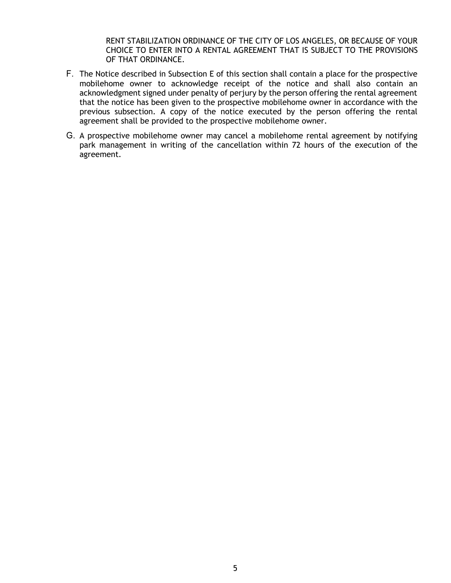RENT STABILIZATION ORDINANCE OF THE CITY OF LOS ANGELES, OR BECAUSE OF YOUR CHOICE TO ENTER INTO A RENTAL AGREEMENT THAT IS SUBJECT TO THE PROVISIONS OF THAT ORDINANCE.

- F. The Notice described in Subsection E of this section shall contain a place for the prospective acknowledgment signed under penalty of perjury by the person offering the rental agreement previous subsection. A copy of the notice executed by the person offering the rental mobilehome owner to acknowledge receipt of the notice and shall also contain an that the notice has been given to the prospective mobilehome owner in accordance with the agreement shall be provided to the prospective mobilehome owner.
- G. A prospective mobilehome owner may cancel a mobilehome rental agreement by notifying park management in writing of the cancellation within 72 hours of the execution of the agreement.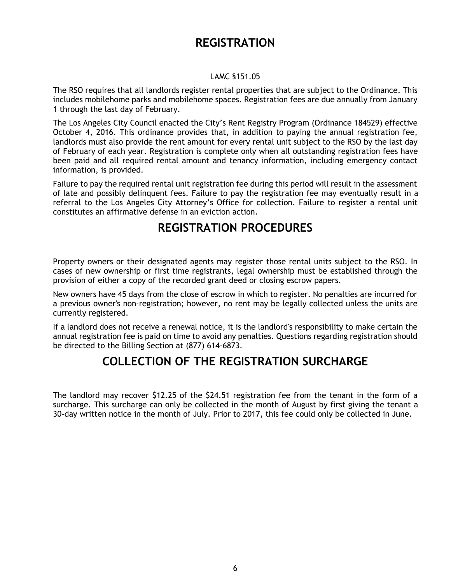# **REGISTRATION**

## LAMC §151.05

<span id="page-8-0"></span> The RSO requires that all landlords register rental properties that are subject to the Ordinance. This 1 through the last day of February. includes mobilehome parks and mobilehome spaces. Registration fees are due annually from January

 The Los Angeles City Council enacted the City's Rent Registry Program (Ordinance 184529) effective October 4, 2016. This ordinance provides that, in addition to paying the annual registration fee, landlords must also provide the rent amount for every rental unit subject to the RSO by the last day of February of each year. Registration is complete only when all outstanding registration fees have been paid and all required rental amount and tenancy information, including emergency contact information, is provided.

 Failure to pay the required rental unit registration fee during this period will result in the assessment of late and possibly delinquent fees. Failure to pay the registration fee may eventually result in a referral to the Los Angeles City Attorney's Office for collection. Failure to register a rental unit constitutes an affirmative defense in an eviction action.

# **REGISTRATION PROCEDURES**

 Property owners or their designated agents may register those rental units subject to the RSO. In cases of new ownership or first time registrants, legal ownership must be established through the provision of either a copy of the recorded grant deed or closing escrow papers.

 New owners have 45 days from the close of escrow in which to register. No penalties are incurred for a previous owner's non-registration; however, no rent may be legally collected unless the units are currently registered.

 If a landlord does not receive a renewal notice, it is the landlord's responsibility to make certain the annual registration fee is paid on time to avoid any penalties. Questions regarding registration should be directed to the Billing Section at (877) 614-6873.

# **COLLECTION OF THE REGISTRATION SURCHARGE**

 surcharge. This surcharge can only be collected in the month of August by first giving the tenant a 30-day written notice in the month of July. Prior to 2017, this fee could only be collected in June. The landlord may recover \$12.25 of the \$24.51 registration fee from the tenant in the form of a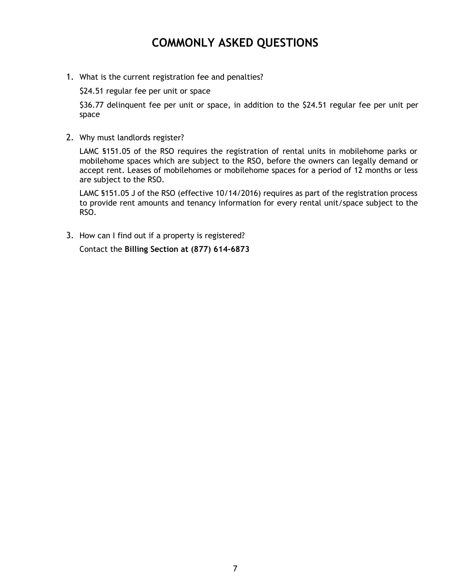# **COMMONLY ASKED QUESTIONS**

<span id="page-9-0"></span>1. What is the current registration fee and penalties?

\$24.51 regular fee per unit or space

\$36.77 delinquent fee per unit or space, in addition to the \$24.51 regular fee per unit per space

2. Why must landlords register?

LAMC §151.05 of the RSO requires the registration of rental units in mobilehome parks or mobilehome spaces which are subject to the RSO, before the owners can legally demand or accept rent. Leases of mobilehomes or mobilehome spaces for a period of 12 months or less are subject to the RSO.

LAMC §151.05 J of the RSO (effective 10/14/2016) requires as part of the registration process to provide rent amounts and tenancy information for every rental unit/space subject to the RSO.

3. How can I find out if a property is registered?

Contact the **Billing Section at (877) 614-6873**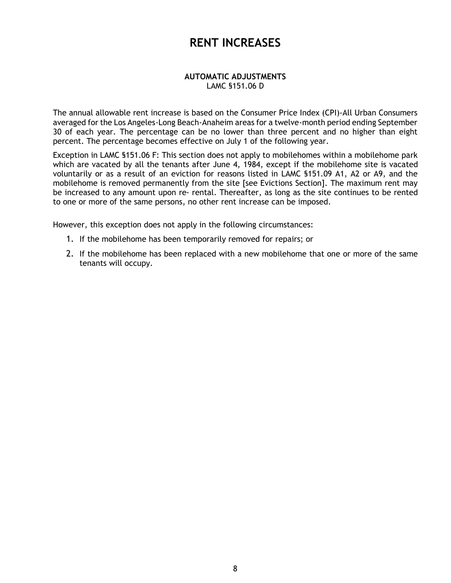# **RENT INCREASES**

#### **AUTOMATIC ADJUSTMENTS**  LAMC §151.06 D

<span id="page-10-0"></span> averaged for the Los Angeles-Long Beach-Anaheim areas for a twelve-month period ending September 30 of each year. The percentage can be no lower than three percent and no higher than eight percent. The percentage becomes effective on July 1 of the following year. The annual allowable rent increase is based on the Consumer Price Index (CPI)-All Urban Consumers

 Exception in LAMC §151.06 F: This section does not apply to mobilehomes within a mobilehome park which are vacated by all the tenants after June 4, 1984, except if the mobilehome site is vacated voluntarily or as a result of an eviction for reasons listed in LAMC §151.09 A1, A2 or A9, and the mobilehome is removed permanently from the site [see Evictions Section]. The maximum rent may be increased to any amount upon re- rental. Thereafter, as long as the site continues to be rented to one or more of the same persons, no other rent increase can be imposed.

However, this exception does not apply in the following circumstances:

- 1. If the mobilehome has been temporarily removed for repairs; or
- 2. If the mobilehome has been replaced with a new mobilehome that one or more of the same tenants will occupy.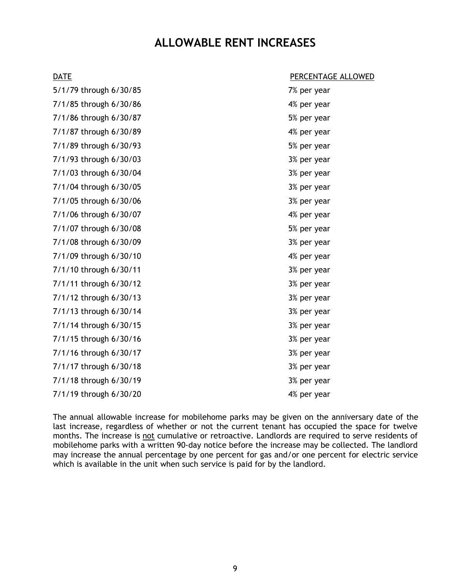# **ALLOWABLE RENT INCREASES**

<span id="page-11-0"></span>

| <b>DATE</b>            | PERCENTAGE ALLOWED |
|------------------------|--------------------|
| 5/1/79 through 6/30/85 | 7% per year        |
| 7/1/85 through 6/30/86 | 4% per year        |
| 7/1/86 through 6/30/87 | 5% per year        |
| 7/1/87 through 6/30/89 | 4% per year        |
| 7/1/89 through 6/30/93 | 5% per year        |
| 7/1/93 through 6/30/03 | 3% per year        |
| 7/1/03 through 6/30/04 | 3% per year        |
| 7/1/04 through 6/30/05 | 3% per year        |
| 7/1/05 through 6/30/06 | 3% per year        |
| 7/1/06 through 6/30/07 | 4% per year        |
| 7/1/07 through 6/30/08 | 5% per year        |
| 7/1/08 through 6/30/09 | 3% per year        |
| 7/1/09 through 6/30/10 | 4% per year        |
| 7/1/10 through 6/30/11 | 3% per year        |
| 7/1/11 through 6/30/12 | 3% per year        |
| 7/1/12 through 6/30/13 | 3% per year        |
| 7/1/13 through 6/30/14 | 3% per year        |
| 7/1/14 through 6/30/15 | 3% per year        |
| 7/1/15 through 6/30/16 | 3% per year        |
| 7/1/16 through 6/30/17 | 3% per year        |
| 7/1/17 through 6/30/18 | 3% per year        |
| 7/1/18 through 6/30/19 | 3% per year        |
| 7/1/19 through 6/30/20 | 4% per year        |

 The annual allowable increase for mobilehome parks may be given on the anniversary date of the may increase the annual percentage by one percent for gas and/or one percent for electric service which is available in the unit when such service is paid for by the landlord. last increase, regardless of whether or not the current tenant has occupied the space for twelve months. The increase is not cumulative or retroactive. Landlords are required to serve residents of mobilehome parks with a written 90-day notice before the increase may be collected. The landlord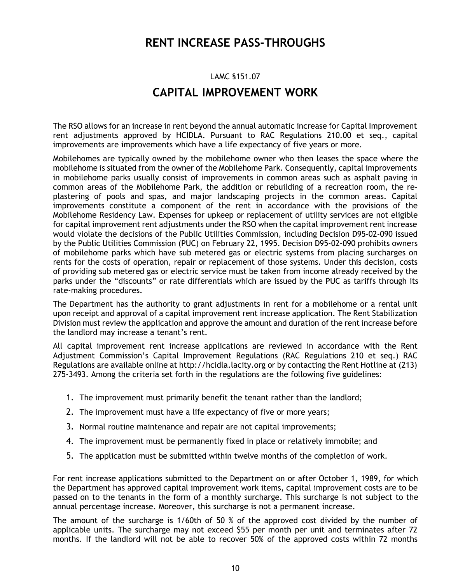# **RENT INCREASE PASS-THROUGHS**

# LAMC §151.07 **CAPITAL IMPROVEMENT WORK**

<span id="page-12-0"></span> The RSO allows for an increase in rent beyond the annual automatic increase for Capital Improvement rent adjustments approved by HCIDLA. Pursuant to RAC Regulations 210.00 et seq., capital improvements are improvements which have a life expectancy of five years or more.

 Mobilehomes are typically owned by the mobilehome owner who then leases the space where the mobilehome is situated from the owner of the Mobilehome Park. Consequently, capital improvements in mobilehome parks usually consist of improvements in common areas such as asphalt paving in common areas of the Mobilehome Park, the addition or rebuilding of a recreation room, the re- improvements constitute a component of the rent in accordance with the provisions of the Mobilehome Residency Law. Expenses for upkeep or replacement of utility services are not eligible for capital improvement rent adjustments under the RSO when the capital improvement rent increase would violate the decisions of the Public Utilities Commission, including Decision D95-02-090 issued by the Public Utilities Commission (PUC) on February 22, 1995. Decision D95-02-090 prohibits owners rents for the costs of operation, repair or replacement of those systems. Under this decision, costs of providing sub metered gas or electric service must be taken from income already received by the parks under the "discounts" or rate differentials which are issued by the PUC as tariffs through its plastering of pools and spas, and major landscaping projects in the common areas. Capital of mobilehome parks which have sub metered gas or electric systems from placing surcharges on rate-making procedures.

 upon receipt and approval of a capital improvement rent increase application. The Rent Stabilization Division must review the application and approve the amount and duration of the rent increase before the landlord may increase a tenant's rent. The Department has the authority to grant adjustments in rent for a mobilehome or a rental unit

 Regulations are available online at [http://hcidla.lacity.org](http:http://hcidla.lacity.org) or by contacting the Rent Hotline at (213) 275-3493. Among the criteria set forth in the regulations are the following five guidelines: All capital improvement rent increase applications are reviewed in accordance with the Rent Adjustment Commission's Capital Improvement Regulations (RAC Regulations 210 et seq.) RAC

- 1. The improvement must primarily benefit the tenant rather than the landlord;
- 2. The improvement must have a life expectancy of five or more years;
- 3. Normal routine maintenance and repair are not capital improvements;
- 4. The improvement must be permanently fixed in place or relatively immobile; and
- 5. The application must be submitted within twelve months of the completion of work.

 For rent increase applications submitted to the Department on or after October 1, 1989, for which the Department has approved capital improvement work items, capital improvement costs are to be passed on to the tenants in the form of a monthly surcharge. This surcharge is not subject to the annual percentage increase. Moreover, this surcharge is not a permanent increase.

 The amount of the surcharge is 1/60th of 50 % of the approved cost divided by the number of applicable units. The surcharge may not exceed \$55 per month per unit and terminates after 72 months. If the landlord will not be able to recover 50% of the approved costs within 72 months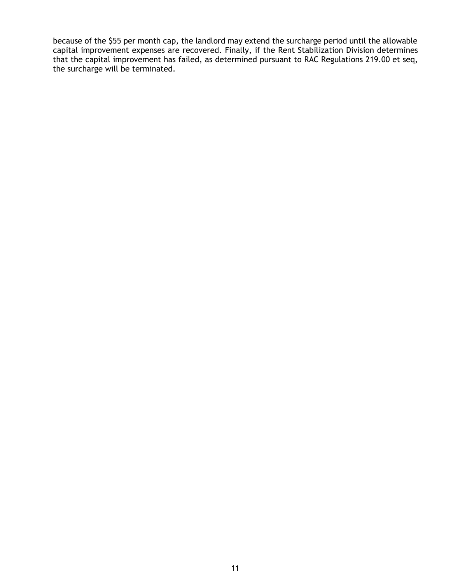because of the \$55 per month cap, the landlord may extend the surcharge period until the allowable capital improvement expenses are recovered. Finally, if the Rent Stabilization Division determines that the capital improvement has failed, as determined pursuant to RAC Regulations 219.00 et seq, the surcharge will be terminated.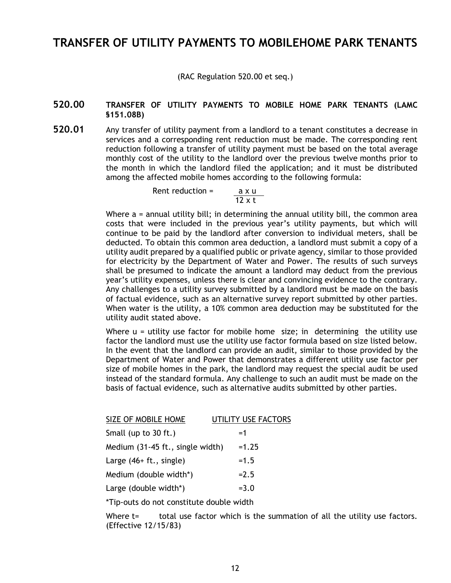## <span id="page-14-0"></span> **TRANSFER OF UTILITY PAYMENTS TO MOBILEHOME PARK TENANTS**

(RAC Regulation 520.00 et seq.)

## **520.00 TRANSFER OF UTILITY PAYMENTS TO MOBILE HOME PARK TENANTS (LAMC §151.08B)**

 **520.01** Any transfer of utility payment from a landlord to a tenant constitutes a decrease in services and a corresponding rent reduction must be made. The corresponding rent reduction following a transfer of utility payment must be based on the total average monthly cost of the utility to the landlord over the previous twelve months prior to the month in which the landlord filed the application; and it must be distributed among the affected mobile homes according to the following formula:

> axu Rent reduction  $=$  $\overline{12 \times t}$

 Where a = annual utility bill; in determining the annual utility bill, the common area costs that were included in the previous year's utility payments, but which will deducted. To obtain this common area deduction, a landlord must submit a copy of a utility audit prepared by a qualified public or private agency, similar to those provided for electricity by the Department of Water and Power. The results of such surveys shall be presumed to indicate the amount a landlord may deduct from the previous year's utility expenses, unless there is clear and convincing evidence to the contrary. Any challenges to a utility survey submitted by a landlord must be made on the basis of factual evidence, such as an alternative survey report submitted by other parties. When water is the utility, a 10% common area deduction may be substituted for the utility audit stated above. continue to be paid by the landlord after conversion to individual meters, shall be

 Where u = utility use factor for mobile home size; in determining the utility use factor the landlord must use the utility use factor formula based on size listed below. In the event that the landlord can provide an audit, similar to those provided by the Department of Water and Power that demonstrates a different utility use factor per size of mobile homes in the park, the landlord may request the special audit be used instead of the standard formula. Any challenge to such an audit must be made on the basis of factual evidence, such as alternative audits submitted by other parties.

| SIZE OF MOBILE HOME              | UTILITY USE FACTORS |
|----------------------------------|---------------------|
| Small (up to 30 ft.)             | $=1$                |
| Medium (31-45 ft., single width) | $=1.25$             |
| Large $(46 + ft., single)$       | $=1.5$              |
| Medium (double width*)           | $= 2.5$             |
| Large (double width*)            | $= 3.0$             |
|                                  |                     |

\*Tip-outs do not constitute double width

Where t= total use factor which is the summation of all the utility use factors. (Effective 12/15/83)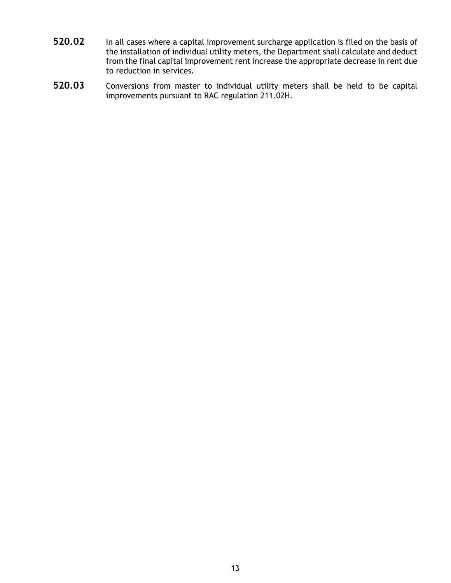- the installation of individual utility meters, the Department shall calculate and deduct from the final capital improvement rent increase the appropriate decrease in rent due **520.02** In all cases where a capital improvement surcharge application is filed on the basis of to reduction in services.
- improvements pursuant to RAC regulation 211.02H. **520.03** Conversions from master to individual utility meters shall be held to be capital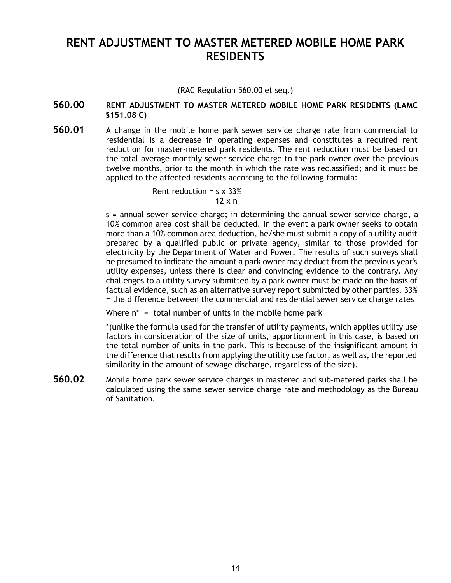# <span id="page-16-0"></span> **RENT ADJUSTMENT TO MASTER METERED MOBILE HOME PARK RESIDENTS**

(RAC Regulation 560.00 et seq.)

## **560.00 RENT ADJUSTMENT TO MASTER METERED MOBILE HOME PARK RESIDENTS (LAMC §151.08 C)**

 **560.01** A change in the mobile home park sewer service charge rate from commercial to reduction for master-metered park residents. The rent reduction must be based on the total average monthly sewer service charge to the park owner over the previous twelve months, prior to the month in which the rate was reclassified; and it must be residential is a decrease in operating expenses and constitutes a required rent applied to the affected residents according to the following formula:

> Rent reduction =  $s \times 33\%$  $12 \times n$

 s = annual sewer service charge; in determining the annual sewer service charge, a 10% common area cost shall be deducted. In the event a park owner seeks to obtain more than a 10% common area deduction, he/she must submit a copy of a utility audit prepared by a qualified public or private agency, similar to those provided for electricity by the Department of Water and Power. The results of such surveys shall be presumed to indicate the amount a park owner may deduct from the previous year's challenges to a utility survey submitted by a park owner must be made on the basis of factual evidence, such as an alternative survey report submitted by other parties. 33% utility expenses, unless there is clear and convincing evidence to the contrary. Any = the difference between the commercial and residential sewer service charge rates

Where n\* = total number of units in the mobile home park

 \*(unlike the formula used for the transfer of utility payments, which applies utility use factors in consideration of the size of units, apportionment in this case, is based on the total number of units in the park. This is because of the insignificant amount in the difference that results from applying the utility use factor, as well as, the reported similarity in the amount of sewage discharge, regardless of the size).

 **560.02** Mobile home park sewer service charges in mastered and sub-metered parks shall be calculated using the same sewer service charge rate and methodology as the Bureau of Sanitation.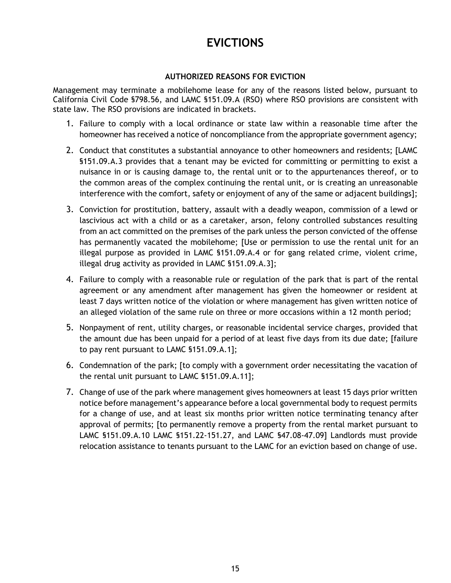# **EVICTIONS**

## **AUTHORIZED REASONS FOR EVICTION**

<span id="page-17-0"></span> Management may terminate a mobilehome lease for any of the reasons listed below, pursuant to California Civil Code §798.56, and LAMC §151.09.A (RSO) where RSO provisions are consistent with state law. The RSO provisions are indicated in brackets.

- homeowner has received a notice of noncompliance from the appropriate government agency; 1. Failure to comply with a local ordinance or state law within a reasonable time after the
- 2. Conduct that constitutes a substantial annoyance to other homeowners and residents; [LAMC nuisance in or is causing damage to, the rental unit or to the appurtenances thereof, or to the common areas of the complex continuing the rental unit, or is creating an unreasonable interference with the comfort, safety or enjoyment of any of the same or adjacent buildings]; §151.09.A.3 provides that a tenant may be evicted for committing or permitting to exist a
- 3. Conviction for prostitution, battery, assault with a deadly weapon, commission of a lewd or lascivious act with a child or as a caretaker, arson, felony controlled substances resulting from an act committed on the premises of the park unless the person convicted of the offense has permanently vacated the mobilehome; [Use or permission to use the rental unit for an illegal purpose as provided in LAMC §151.09.A.4 or for gang related crime, violent crime, illegal drug activity as provided in LAMC §151.09.A.3];
- 4. Failure to comply with a reasonable rule or regulation of the park that is part of the rental agreement or any amendment after management has given the homeowner or resident at least 7 days written notice of the violation or where management has given written notice of an alleged violation of the same rule on three or more occasions within a 12 month period;
- 5. Nonpayment of rent, utility charges, or reasonable incidental service charges, provided that the amount due has been unpaid for a period of at least five days from its due date; [failure to pay rent pursuant to LAMC §151.09.A.1];
- 6. Condemnation of the park; [to comply with a government order necessitating the vacation of the rental unit pursuant to LAMC [§151.09.A.11](http:151.09.A.11)];
- 7. Change of use of the park where management gives homeowners at least 15 days prior written notice before management's appearance before a local governmental body to request permits for a change of use, and at least six months prior written notice terminating tenancy after approval of permits; [to permanently remove a property from the rental market pursuant to LAMC [§151.09.A.10](http:151.09.A.10) LAMC [§151.22-151.27](http:151.22-151.27), and LAMC §[47.08-47.09](http:47.08-47.09)] Landlords must provide relocation assistance to tenants pursuant to the LAMC for an eviction based on change of use.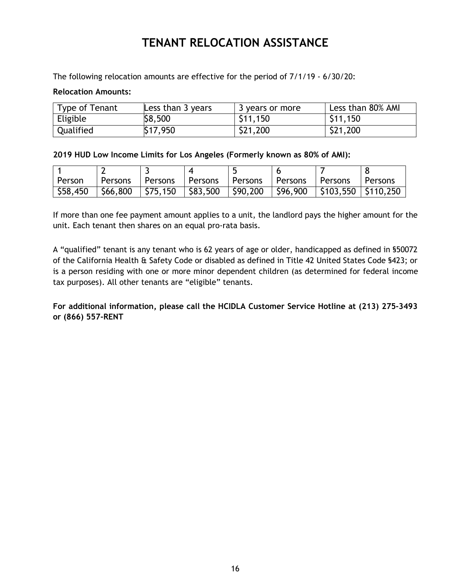# **TENANT RELOCATION ASSISTANCE**

The following relocation amounts are effective for the period of 7/1/19 - 6/30/20:

## **Relocation Amounts:**

| Type of Tenant | Less than $3$ years | 3 years or more | Less than 80% AMI |
|----------------|---------------------|-----------------|-------------------|
| Eligible       | \$8,500             | \$11,150        | \$11,150          |
| Qualified      | \$17,950            | \$21,200        | \$21,200          |

 **2019 HUD Low Income Limits for Los Angeles (Formerly known as 80% of AMI):** 

| l Person | l Persons |  |  | Persons Persons Persons Persons Persons Persons Persons                                 |  |
|----------|-----------|--|--|-----------------------------------------------------------------------------------------|--|
|          |           |  |  | \$58,450   \$66,800   \$75,150   \$83,500   \$90,200   \$96,900   \$103,550   \$110,250 |  |

 If more than one fee payment amount applies to a unit, the landlord pays the higher amount for the unit. Each tenant then shares on an equal pro-rata basis.

 A "qualified" tenant is any tenant who is 62 years of age or older, handicapped as defined in §50072 of the California Health & Safety Code or disabled as defined in Title 42 United States Code §423; or is a person residing with one or more minor dependent children (as determined for federal income tax purposes). All other tenants are "eligible" tenants.

 **For additional information, please call the HCIDLA Customer Service Hotline at (213) 275-3493 or (866) 557-RENT**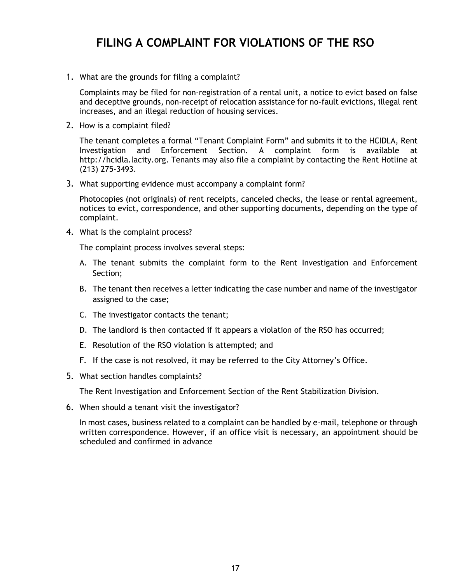# **FILING A COMPLAINT FOR VIOLATIONS OF THE RSO**

<span id="page-19-0"></span>1. What are the grounds for filing a complaint?

 Complaints may be filed for non-registration of a rental unit, a notice to evict based on false and deceptive grounds, non-receipt of relocation assistance for no-fault evictions, illegal rent increases, and an illegal reduction of housing services.

2. How is a complaint filed?

 The tenant completes a formal "Tenant Complaint Form" and submits it to the HCIDLA, Rent Investigation and Enforcement Section. A complaint form is available at [http://hcidla.lacity.org](http:http://hcidla.lacity.org). Tenants may also file a complaint by contacting the Rent Hotline at (213) 275-3493.

3. What supporting evidence must accompany a complaint form?

 Photocopies (not originals) of rent receipts, canceled checks, the lease or rental agreement, notices to evict, correspondence, and other supporting documents, depending on the type of complaint.

4. What is the complaint process?

The complaint process involves several steps:

- A. The tenant submits the complaint form to the Rent Investigation and Enforcement Section;
- B. The tenant then receives a letter indicating the case number and name of the investigator assigned to the case;
- C. The investigator contacts the tenant;
- D. The landlord is then contacted if it appears a violation of the RSO has occurred;
- E. Resolution of the RSO violation is attempted; and
- F. If the case is not resolved, it may be referred to the City Attorney's Office.
- 5. What section handles complaints?

The Rent Investigation and Enforcement Section of the Rent Stabilization Division.

6. When should a tenant visit the investigator?

 In most cases, business related to a complaint can be handled by e-mail, telephone or through written correspondence. However, if an office visit is necessary, an appointment should be scheduled and confirmed in advance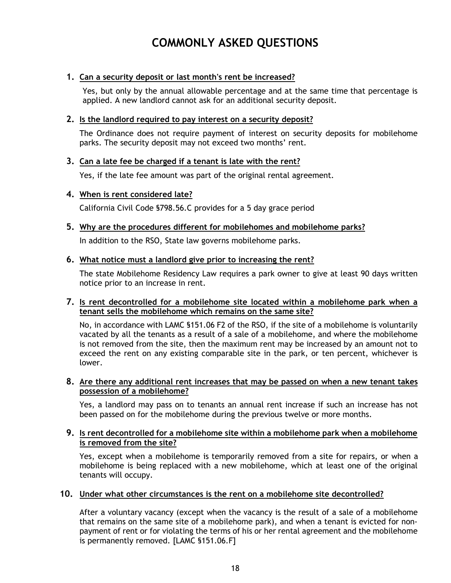# **COMMONLY ASKED QUESTIONS**

## <span id="page-20-0"></span> **1. Can a security deposit or last month's rent be increased?**

 Yes, but only by the annual allowable percentage and at the same time that percentage is applied. A new landlord cannot ask for an additional security deposit.

## **2. Is the landlord required to pay interest on a security deposit?**

 parks. The security deposit may not exceed two months' rent. The Ordinance does not require payment of interest on security deposits for mobilehome

## **3. Can a late fee be charged if a tenant is late with the rent?**

Yes, if the late fee amount was part of the original rental agreement.

## **4. When is rent considered late?**

California Civil Code §798.56.C provides for a 5 day grace period

 **5. Why are the procedures different for mobilehomes and mobilehome parks?** 

In addition to the RSO, State law governs mobilehome parks.

## **6. What notice must a landlord give prior to increasing the rent?**

 The state Mobilehome Residency Law requires a park owner to give at least 90 days written notice prior to an increase in rent.

## **tenant sells the mobilehome which remains on the same site? 7. Is rent decontrolled for a mobilehome site located within a mobilehome park when a**

 No, in accordance with LAMC §151.06 F2 of the RSO, if the site of a mobilehome is voluntarily vacated by all the tenants as a result of a sale of a mobilehome, and where the mobilehome is not removed from the site, then the maximum rent may be increased by an amount not to exceed the rent on any existing comparable site in the park, or ten percent, whichever is lower.

## **8. Are there any additional rent increases that may be passed on when a new tenant takes possession of a mobilehome?**

 Yes, a landlord may pass on to tenants an annual rent increase if such an increase has not been passed on for the mobilehome during the previous twelve or more months.

## **9. Is rent decontrolled for a mobilehome site within a mobilehome park when a mobilehome is removed from the site?**

 Yes, except when a mobilehome is temporarily removed from a site for repairs, or when a mobilehome is being replaced with a new mobilehome, which at least one of the original tenants will occupy.

## **10. Under what other circumstances is the rent on a mobilehome site decontrolled?**

 After a voluntary vacancy (except when the vacancy is the result of a sale of a mobilehome that remains on the same site of a mobilehome park), and when a tenant is evicted for non- payment of rent or for violating the terms of his or her rental agreement and the mobilehome is permanently removed. [LAMC §151.06.F]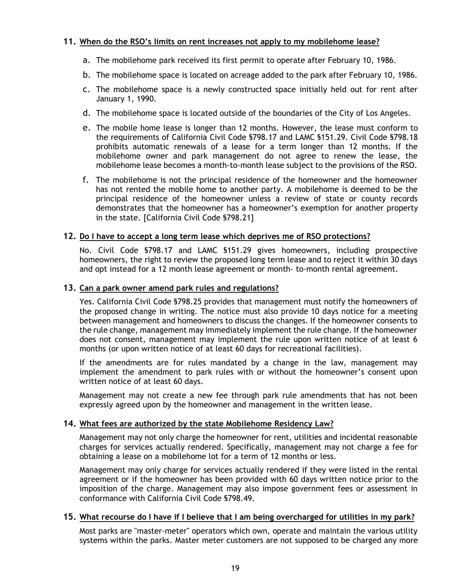## **11. When do the RSO's limits on rent increases not apply to my mobilehome lease?**

- a. The mobilehome park received its first permit to operate after February 10, 1986.
- b. The mobilehome space is located on acreage added to the park after February 10, 1986.
- January 1, 1990. c. The mobilehome space is a newly constructed space initially held out for rent after
- d. The mobilehome space is located outside of the boundaries of the City of Los Angeles.
- e. The mobile home lease is longer than 12 months. However, the lease must conform to the requirements of California Civil Code §798.17 and LAMC §151.29. Civil Code §798.18 prohibits automatic renewals of a lease for a term longer than 12 months. If the mobilehome owner and park management do not agree to renew the lease, the mobilehome lease becomes a month-to-month lease subject to the provisions of the RSO.
- f. The mobilehome is not the principal residence of the homeowner and the homeowner has not rented the mobile home to another party. A mobilehome is deemed to be the principal residence of the homeowner unless a review of state or county records demonstrates that the homeowner has a homeowner's exemption for another property in the state. [California Civil Code §798.21]

## **12. Do I have to accept a long term lease which deprives me of RSO protections?**

 homeowners, the right to review the proposed long term lease and to reject it within 30 days and opt instead for a 12 month lease agreement or month- to-month rental agreement. No. Civil Code §798.17 and LAMC §151.29 gives homeowners, including prospective

## **13. Can a park owner amend park rules and regulations?**

 Yes. California Civil Code §798.25 provides that management must notify the homeowners of the proposed change in writing. The notice must also provide 10 days notice for a meeting between management and homeowners to discuss the changes. If the homeowner consents to the rule change, management may immediately implement the rule change. If the homeowner does not consent, management may implement the rule upon written notice of at least 6 months (or upon written notice of at least 60 days for recreational facilities).

 If the amendments are for rules mandated by a change in the law, management may implement the amendment to park rules with or without the homeowner's consent upon written notice of at least 60 days.

 Management may not create a new fee through park rule amendments that has not been expressly agreed upon by the homeowner and management in the written lease.

## **14. What fees are authorized by the state Mobilehome Residency Law?**

 Management may not only charge the homeowner for rent, utilities and incidental reasonable charges for services actually rendered. Specifically, management may not charge a fee for obtaining a lease on a mobilehome lot for a term of 12 months or less.

 Management may only charge for services actually rendered if they were listed in the rental agreement or if the homeowner has been provided with 60 days written notice prior to the imposition of the charge. Management may also impose government fees or assessment in conformance with California Civil Code §798.49.

#### **15. What recourse do I have if I believe that I am being overcharged for utilities in my park?**

 systems within the parks. Master meter customers are not supposed to be charged any more Most parks are "master-meter" operators which own, operate and maintain the various utility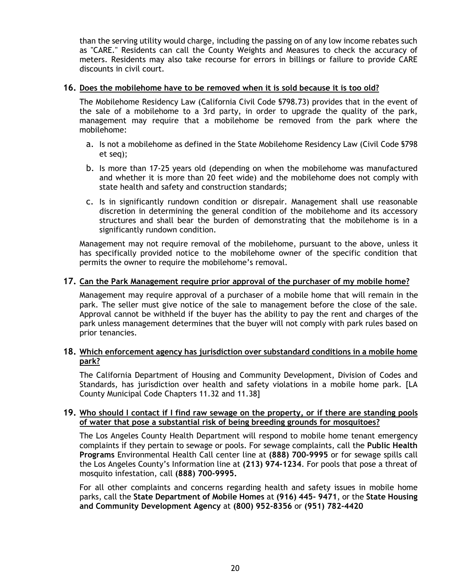than the serving utility would charge, including the passing on of any low income rebates such meters. Residents may also take recourse for errors in billings or failure to provide CARE as "CARE." Residents can call the County Weights and Measures to check the accuracy of discounts in civil court.

## **16. Does the mobilehome have to be removed when it is sold because it is too old?**

 The Mobilehome Residency Law (California Civil Code §798.73) provides that in the event of the sale of a mobilehome to a 3rd party, in order to upgrade the quality of the park, management may require that a mobilehome be removed from the park where the mobilehome:

- a. Is not a mobilehome as defined in the State Mobilehome Residency Law (Civil Code §798 et seq);
- and whether it is more than 20 feet wide) and the mobilehome does not comply with b. Is more than 17-25 years old (depending on when the mobilehome was manufactured state health and safety and construction standards;
- c. Is in significantly rundown condition or disrepair. Management shall use reasonable structures and shall bear the burden of demonstrating that the mobilehome is in a discretion in determining the general condition of the mobilehome and its accessory significantly rundown condition.

 Management may not require removal of the mobilehome, pursuant to the above, unless it permits the owner to require the mobilehome's removal. has specifically provided notice to the mobilehome owner of the specific condition that

## **17. Can the Park Management require prior approval of the purchaser of my mobile home?**

 Management may require approval of a purchaser of a mobile home that will remain in the park. The seller must give notice of the sale to management before the close of the sale. Approval cannot be withheld if the buyer has the ability to pay the rent and charges of the park unless management determines that the buyer will not comply with park rules based on prior tenancies.

## **18. Which enforcement agency has jurisdiction over substandard conditions in a mobile home park?**

The California Department of Housing and Community Development, Division of Codes and Standards, has jurisdiction over health and safety violations in a mobile home park. [LA County Municipal Code Chapters 11.32 and 11.38]

#### **19. Who should I contact if I find raw sewage on the property, or if there are standing pools of water that pose a substantial risk of being breeding grounds for mosquitoes?**

 The Los Angeles County Health Department will respond to mobile home tenant emergency complaints if they pertain to sewage or pools. For sewage complaints, call the **Public Health Programs** Environmental Health Call center line at **(888) 700-9995** or for sewage spills call the Los Angeles County's Information line at **(213) 974-1234**. For pools that pose a threat of mosquito infestation, call **(888) 700-9995.** 

 For all other complaints and concerns regarding health and safety issues in mobile home  parks, call the **State Department of Mobile Homes** at **(916) 445- 9471**, or the **State Housing and Community Development Agency** at **(800) 952-8356** or **(951) 782-4420**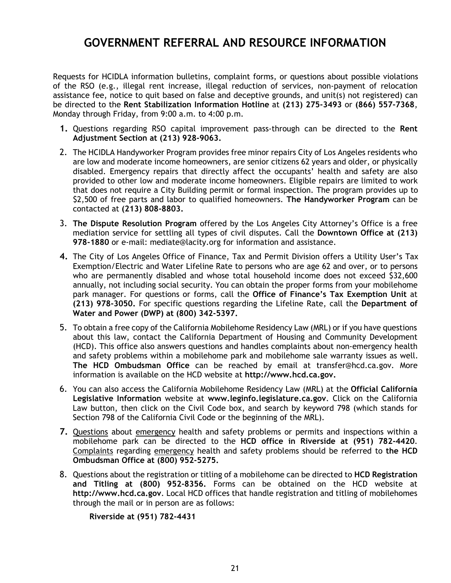# **GOVERNMENT REFERRAL AND RESOURCE INFORMATION**

<span id="page-23-0"></span> Requests for HCIDLA information bulletins, complaint forms, or questions about possible violations of the RSO (e.g., illegal rent increase, illegal reduction of services, non-payment of relocation assistance fee, notice to quit based on false and deceptive grounds, and unit(s) not registered) can Monday through Friday, from 9:00 a.m. to 4:00 p.m. be directed to the **Rent Stabilization Information Hotline** at **(213) 275-3493** or **(866) 557-7368**,

- **Adjustment Section at (213) 928-9063. 1.** Questions regarding RSO capital improvement pass-through can be directed to the **Rent**
- 2. The HCIDLA Handyworker Program provides free minor repairs City of Los Angeles residents who are low and moderate income homeowners, are senior citizens 62 years and older, or physically provided to other low and moderate income homeowners. Eligible repairs are limited to work that does not require a City Building permit or formal inspection. The program provides up to disabled. Emergency repairs that directly affect the occupants' health and safety are also \$2,500 of free parts and labor to qualified homeowners. **The Handyworker Program** can be contacted at **(213) 808-8803.**
- 3. **The Dispute Resolution Program** offered by the Los Angeles City Attorney's Office is a free  mediation service for settling all types of civil disputes. Call the **Downtown Office at (213) 978-1880** or e-mail: [mediate@lacity.org](mailto:mediate@lacity.org) for information and assistance.
- **4.** The City of Los Angeles Office of Finance, Tax and Permit Division offers a Utility User's Tax Exemption/Electric and Water Lifeline Rate to persons who are age 62 and over, or to persons annually, not including social security. You can obtain the proper forms from your mobilehome park manager. For questions or forms, call the **Office of Finance's Tax Exemption Unit** at **(213) 978-3050.** For specific questions regarding the Lifeline Rate, call the **Department of Water and Power (DWP) at (800) 342-5397.**  who are permanently disabled and whose total household income does not exceed \$32,600
- 5. To obtain a free copy of the California Mobilehome Residency Law (MRL) or if you have questions about this law, contact the California Department of Housing and Community Development (HCD). This office also answers questions and handles complaints about non-emergency health  **The HCD Ombudsman Office** can be reached by email at [transfer@hcd.ca.gov](mailto:transfer@hcd.ca.gov). More information is available on the HCD website at **[http://www.hcd.ca.gov](http:http://www.hcd.ca.gov).**  and safety problems within a mobilehome park and mobilehome sale warranty issues as well.
- 6. You can also access the California Mobilehome Residency Law (MRL) at the **Official California Legislative Information** website at **[www.leginfo.legislature.ca.gov](http:www.leginfo.legislature.ca.gov)**. Click on the California Law button, then click on the Civil Code box, and search by keyword 798 (which stands for Section 798 of the California Civil Code or the beginning of the MRL).
- **7.** Questions about emergency health and safety problems or permits and inspections within a mobilehome park can be directed to the **HCD office in Riverside at (951) 782-4420**.  **Ombudsman Office at (800) 952-5275.**  Complaints regarding emergency health and safety problems should be referred to **the HCD**
- 8. Questions about the registration or titling of a mobilehome can be directed to **HCD Registration [http://www.hcd.ca.gov](http:http://www.hcd.ca.gov)**. Local HCD offices that handle registration and titling of mobilehomes **and Titling at (800) 952-8356.** Forms can be obtained on the HCD website at through the mail or in person are as follows:

 **Riverside at (951) 782-4431**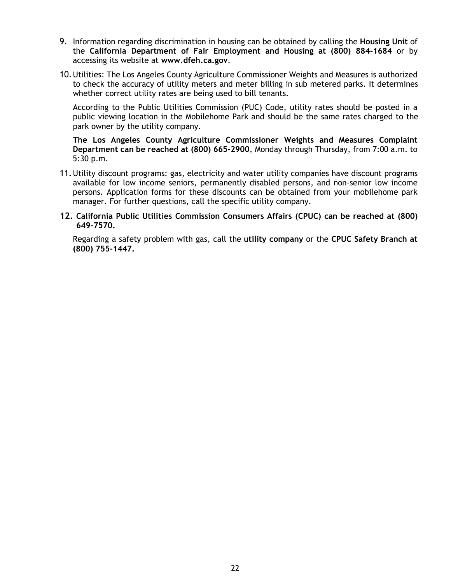- 9. Information regarding discrimination in housing can be obtained by calling the **Housing Unit** of the **California Department of Fair Employment and Housing at (800) 884-1684** or by accessing its website at **[www.dfeh.ca.gov](http:www.dfeh.ca.gov)**.
- to check the accuracy of utility meters and meter billing in sub metered parks. It determines whether correct utility rates are being used to bill tenants. 10.Utilities: The Los Angeles County Agriculture Commissioner Weights and Measures is authorized

 According to the Public Utilities Commission (PUC) Code, utility rates should be posted in a public viewing location in the Mobilehome Park and should be the same rates charged to the park owner by the utility company.

 **The Los Angeles County Agriculture Commissioner Weights and Measures Complaint Department can be reached at (800) 665-2900**, Monday through Thursday, from 7:00 a.m. to 5:30 p.m.

- 11.Utility discount programs: gas, electricity and water utility companies have discount programs available for low income seniors, permanently disabled persons, and non-senior low income manager. For further questions, call the specific utility company. persons. Application forms for these discounts can be obtained from your mobilehome park
- **12. California Public Utilities Commission Consumers Affairs (CPUC) can be reached at (800) 649-7570.**

 Regarding a safety problem with gas, call the **utility company** or the **CPUC Safety Branch at (800) 755-1447.**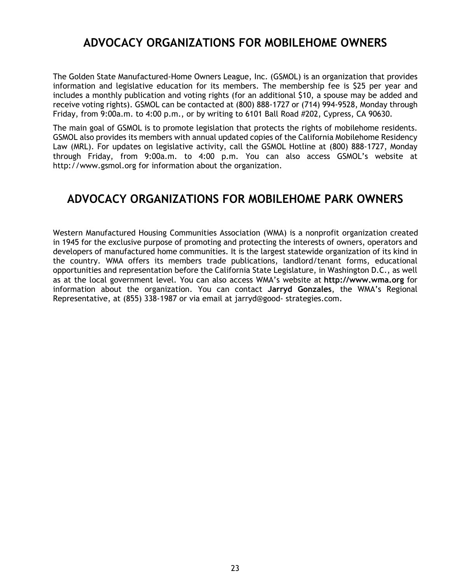# **ADVOCACY ORGANIZATIONS FOR MOBILEHOME OWNERS**

<span id="page-25-0"></span> The Golden State Manufactured-Home Owners League, Inc. (GSMOL) is an organization that provides information and legislative education for its members. The membership fee is \$25 per year and includes a monthly publication and voting rights (for an additional \$10, a spouse may be added and receive voting rights). GSMOL can be contacted at (800) 888-1727 or (714) 994-9528, Monday through Friday, from 9:00a.m. to 4:00 p.m., or by writing to 6101 Ball Road #202, Cypress, CA 90630.

 The main goal of GSMOL is to promote legislation that protects the rights of mobilehome residents. GSMOL also provides its members with annual updated copies of the California Mobilehome Residency Law (MRL). For updates on legislative activity, call the GSMOL Hotline at (800) 888-1727, Monday [http://www.gsmol.org](http:http://www.gsmol.org) for information about the organization. through Friday, from 9:00a.m. to 4:00 p.m. You can also access GSMOL's website at

# **ADVOCACY ORGANIZATIONS FOR MOBILEHOME PARK OWNERS**

 Western Manufactured Housing Communities Association (WMA) is a nonprofit organization created in 1945 for the exclusive purpose of promoting and protecting the interests of owners, operators and developers of manufactured home communities. It is the largest statewide organization of its kind in the country. WMA offers its members trade publications, landlord/tenant forms, educational as at the local government level. You can also access WMA's website at **[http://www.wma.org](http:http://www.wma.org)** for information about the organization. You can contact **Jarryd Gonzales**, the WMA's Regional Representative, at (855) 338-1987 or via email at jarryd@good- [strategies.com.](mailto:jarryd@good-strategies.com) opportunities and representation before the California State Legislature, in Washington D.C., as well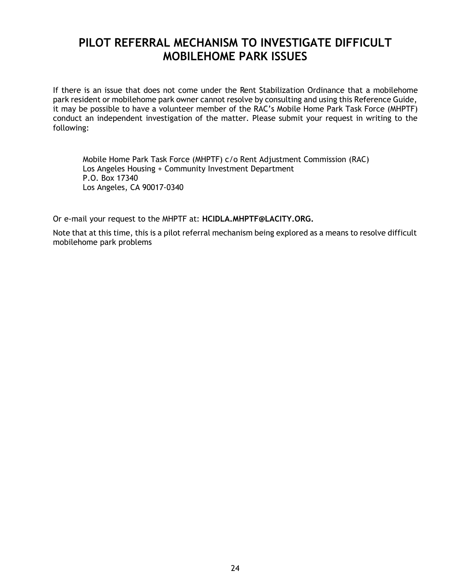# <span id="page-26-0"></span> **PILOT REFERRAL MECHANISM TO INVESTIGATE DIFFICULT MOBILEHOME PARK ISSUES**

 If there is an issue that does not come under the Rent Stabilization Ordinance that a mobilehome park resident or mobilehome park owner cannot resolve by consulting and using this Reference Guide, it may be possible to have a volunteer member of the RAC's Mobile Home Park Task Force (MHPTF) conduct an independent investigation of the matter. Please submit your request in writing to the following:

 Mobile Home Park Task Force (MHPTF) c/o Rent Adjustment Commission (RAC) Los Angeles Housing + Community Investment Department P.O. Box 17340 Los Angeles, CA 90017-0340

Or e-mail your request to the MHPTF at: **[HCIDLA.MHPTF@LACITY.ORG](mailto:HCIDLA.MHPTF@LACITY.ORG).** 

 Note that at this time, this is a pilot referral mechanism being explored as a means to resolve difficult mobilehome park problems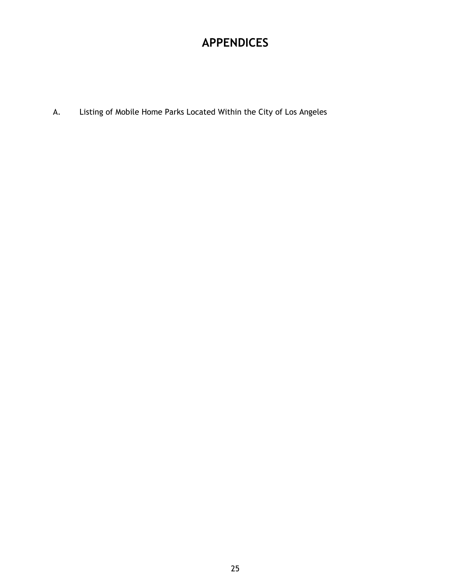# **APPENDICES**

<span id="page-27-0"></span>A. Listing of Mobile Home Parks Located Within the City of Los Angeles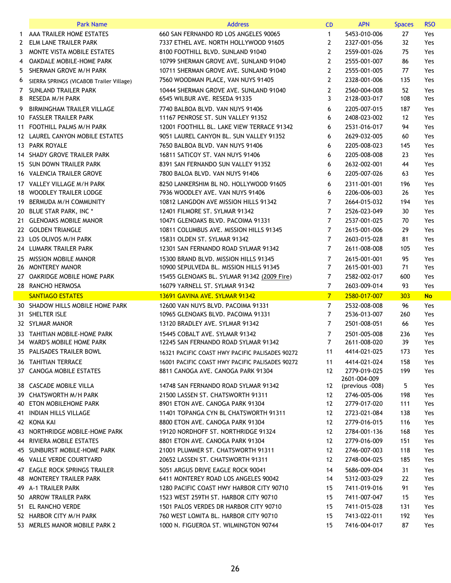|     | <b>Park Name</b>                                    | <b>Address</b>                                                                        | <b>CD</b>                        | <b>APN</b>                   | <b>Spaces</b> | <b>RSO</b> |
|-----|-----------------------------------------------------|---------------------------------------------------------------------------------------|----------------------------------|------------------------------|---------------|------------|
|     | 1 AAA TRAILER HOME ESTATES                          | 660 SAN FERNANDO RD LOS ANGELES 90065                                                 | $\mathbf{1}$                     | 5453-010-006                 | 27            | Yes        |
| 2   | ELM LANE TRAILER PARK                               | 7337 ETHEL AVE. NORTH HOLLYWOOD 91605                                                 | $\overline{2}$                   | 2327-001-056                 | 32            | Yes        |
|     | 3 MONTE VISTA MOBILE ESTATES                        | 8100 FOOTHILL BLVD. SUNLAND 91040                                                     | $\overline{2}$                   | 2559-001-026                 | 75            | Yes        |
| 4   | OAKDALE MOBILE-HOME PARK                            | 10799 SHERMAN GROVE AVE. SUNLAND 91040                                                | $\overline{2}$                   | 2555-001-007                 | 86            | Yes        |
| 5.  | SHERMAN GROVE M/H PARK                              | 10711 SHERMAN GROVE AVE, SUNLAND 91040                                                | $\overline{2}$                   | 2555-001-005                 | 77            | Yes        |
| 6   | SIERRA SPRINGS (VICABOB Trailer Village)            | 7560 WOODMAN PLACE, VAN NUYS 91405                                                    | $\overline{2}$                   | 2328-001-006                 | 135           | Yes        |
| 7   | <b>SUNLAND TRAILER PARK</b>                         | 10444 SHERMAN GROVE AVE. SUNLAND 91040                                                | $\mathbf{2}$                     | 2560-004-008                 | 52            | Yes        |
| 8   | RESEDA M/H PARK                                     | 6545 WILBUR AVE. RESEDA 91335                                                         | 3                                | 2128-003-017                 | 108           | Yes        |
| 9.  | BIRMINGHAM TRAILER VILLAGE                          | 7740 BALBOA BLVD. VAN NUYS 91406                                                      | 6                                | 2205-007-015                 | 187           | Yes        |
|     | 10 FASSLER TRAILER PARK                             | 11167 PENROSE ST. SUN VALLEY 91352                                                    | 6                                | 2408-023-002                 | 12            | Yes        |
|     | 11 FOOTHILL PALMS M/H PARK                          | 12001 FOOTHILL BL. LAKE VIEW TERRACE 91342                                            | 6                                | 2531-016-017                 | 94            | Yes        |
|     | 12 LAUREL CANYON MOBILE ESTATES                     | 9051 LAUREL CANYON BL. SUN VALLEY 91352                                               | 6                                | 2629-032-005                 | 60            | Yes        |
|     | 13 PARK ROYALE                                      | 7650 BALBOA BLVD. VAN NUYS 91406                                                      | 6                                | 2205-008-023                 | 145           | Yes        |
|     | 14 SHADY GROVE TRAILER PARK                         | 16811 SATICOY ST. VAN NUYS 91406                                                      | 6                                | 2205-008-008                 | 23            | Yes        |
|     | 15 SUN DOWN TRAILER PARK                            | 8391 SAN FERNANDO SUN VALLEY 91352                                                    | 6                                | 2632-002-001                 | 44            | Yes        |
|     | 16 VALENCIA TRAILER GROVE                           | 7800 BALOA BLVD. VAN NUYS 91406                                                       | 6                                | 2205-007-026                 | 63            | Yes        |
|     | 17 VALLEY VILLAGE M/H PARK                          | 8250 LANKERSHIM BL NO. HOLLYWOOD 91605                                                | 6                                | 2311-001-001                 | 196           | Yes        |
|     | 18 WOODLEY TRAILER LODGE                            | 7936 WOODLEY AVE. VAN NUYS 91406                                                      | 6                                | 2206-006-003                 | 26            | Yes        |
|     | 19 BERMUDA M/H COMMUNITY                            | 10812 LANGDON AVE MISSION HILLS 91342                                                 | $\overline{7}$                   | 2664-015-032                 | 194           | Yes        |
|     | 20 BLUE STAR PARK, INC *                            | 12401 FILMORE ST. SYLMAR 91342                                                        | $\overline{7}$                   | 2526-023-049                 | 30            | Yes        |
|     | 21 GLENOAKS MOBILE MANOR                            | 10471 GLENOAKS BLVD. PACOIMA 91331                                                    | $\overline{7}$                   | 2537-001-025                 | 70            | Yes        |
|     | 22 GOLDEN TRIANGLE                                  | 10811 COLUMBUS AVE. MISSION HILLS 91345                                               | $\overline{7}$                   | 2615-001-006                 | 29            | Yes        |
|     | 23 LOS OLIVOS M/H PARK                              | 15831 OLDEN ST. SYLMAR 91342                                                          | $\overline{7}$                   | 2603-015-028                 | 81            | Yes        |
|     | 24 LUMARK TRAILER PARK                              | 12301 SAN FERNANDO ROAD SYLMAR 91342                                                  | $\overline{7}$                   | 2611-008-008                 | 105           | Yes        |
|     | 25 MISSION MOBILE MANOR                             | 15300 BRAND BLVD. MISSION HILLS 91345                                                 | $\overline{7}$                   | 2615-001-001                 | 95            | Yes        |
|     | 26 MONTEREY MANOR                                   | 10900 SEPULVEDA BL. MISSION HILLS 91345                                               | $\overline{7}$                   | 2615-001-003                 | 71            | Yes        |
|     | 27 OAKRIDGE MOBILE HOME PARK                        | 15455 GLENOAKS BL. SYLMAR 91342 (2009 Fire)                                           | $\overline{7}$                   | 2582-002-017                 | 600           | Yes        |
|     | 28 RANCHO HERMOSA                                   | 16079 YARNELL ST. SYLMAR 91342                                                        | $\overline{7}$                   | 2603-009-014                 | 93            | Yes        |
|     | <b>SANTIAGO ESTATES</b>                             | 13691 GAVINA AVE, SYLMAR 91342                                                        | $7\overline{ }$                  | 2580-017-007                 | 303           | <b>No</b>  |
|     | 30 SHADOW HILLS MOBILE HOME PARK<br>31 SHELTER ISLE | 12600 VAN NUYS BLVD. PACOIMA 91331<br>10965 GLENOAKS BLVD, PACOIMA 91331              | $\overline{7}$<br>$\overline{7}$ | 2532-008-008<br>2536-013-007 | 96<br>260     | Yes<br>Yes |
|     | 32 SYLMAR MANOR                                     | 13120 BRADLEY AVE. SYLMAR 91342                                                       | $\overline{7}$                   | 2501-008-051                 | 66            | Yes        |
|     | 33 TAHITIAN MOBILE-HOME PARK                        | 15445 COBALT AVE. SYLMAR 91342                                                        | $\overline{7}$                   | 2501-005-008                 |               | Yes        |
|     | 34 WARD'S MOBILE HOME PARK                          | 12245 SAN FERNANDO ROAD SYLMAR 91342                                                  | $\overline{7}$                   | 2611-008-020                 | 236<br>39     | Yes        |
|     | 35 PALISADES TRAILER BOWL                           |                                                                                       | 11                               | 4414-021-025                 | 173           | Yes        |
|     |                                                     | 16321 PACIFIC COAST HWY PACIFIC PALISADES 90272                                       |                                  |                              | 158           |            |
|     | 36 TAHITIAN TERRACE<br>37 CANOGA MOBILE ESTATES     | 16001 PACIFIC COAST HWY PACIFIC PALISADES 90272<br>8811 CANOGA AVE. CANOGA PARK 91304 | 11<br>12                         | 4414-021-024<br>2779-019-025 | 199           | Yes<br>Yes |
|     |                                                     |                                                                                       |                                  | 2601-004-009                 |               |            |
|     | 38 CASCADE MOBILE VILLA                             | 14748 SAN FERNANDO ROAD SYLMAR 91342                                                  | 12                               | (previous -008)              | 5             | Yes        |
|     | 39 CHATSWORTH M/H PARK                              | 21500 LASSEN ST. CHATSWORTH 91311                                                     | 12                               | 2746-005-006                 | 198           | Yes        |
| 40. | ETON MOBILEHOME PARK                                | 8901 ETON AVE. CANOGA PARK 91304                                                      | 12                               | 2779-017-020                 | 111           | Yes        |
| 41  | <b>INDIAN HILLS VILLAGE</b>                         | 11401 TOPANGA CYN BL CHATSWORTH 91311                                                 | 12                               | 2723-021-084                 | 138           | Yes        |
|     | 42 KONA KAI                                         | 8800 ETON AVE. CANOGA PARK 91304                                                      | 12 <sup>°</sup>                  | 2779-016-015                 | 116           | Yes        |
|     | 43 NORTHRIDGE MOBILE-HOME PARK                      | 19120 NORDHOFF ST. NORTHRIDGE 91324                                                   | 12                               | 2784-001-136                 | 168           | Yes        |
|     | 44 RIVIERA MOBILE ESTATES                           | 8801 ETON AVE. CANOGA PARK 91304                                                      | $12 \overline{ }$                | 2779-016-009                 | 151           | Yes        |
|     | 45 SUNBURST MOBILE-HOME PARK                        | 21001 PLUMMER ST. CHATSWORTH 91311                                                    | 12                               | 2746-007-003                 | 118           | Yes        |
|     | 46 VALLE VERDE COURTYARD                            | 20652 LASSEN ST. CHATSWORTH 91311                                                     | 12                               | 2748-004-025                 | 185           | Yes        |
|     | 47 EAGLE ROCK SPRINGS TRAILER                       | 5051 ARGUS DRIVE EAGLE ROCK 90041                                                     | 14                               | 5686-009-004                 | 31            | Yes        |
|     | 48 MONTEREY TRAILER PARK                            | 6411 MONTEREY ROAD LOS ANGELES 90042                                                  | 14                               | 5312-003-029                 | 22            | Yes        |
|     | 49 A-1 TRAILER PARK                                 | 1280 PACIFIC COAST HWY HARBOR CITY 90710                                              | 15                               | 7411-019-016                 | 91            | Yes        |
|     | 50 ARROW TRAILER PARK                               | 1523 WEST 259TH ST. HARBOR CITY 90710                                                 | 15                               | 7411-007-047                 | 15            | Yes        |
| 51  | EL RANCHO VERDE                                     | 1501 PALOS VERDES DR HARBOR CITY 90710                                                | 15                               | 7411-015-028                 | 131           | Yes        |
|     | 52 HARBOR CITY M/H PARK                             | 760 WEST LOMITA BL. HARBOR CITY 90710                                                 | 15                               | 7413-022-011                 | 192           | Yes        |
|     | 53 MERLES MANOR MOBILE PARK 2                       | 1000 N. FIGUEROA ST. WILMINGTON 90744                                                 | 15                               | 7416-004-017                 | 87            | Yes        |